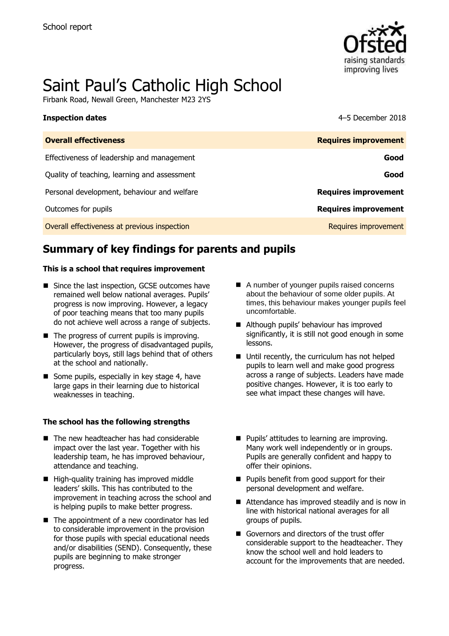

# Saint Paul's Catholic High School

Firbank Road, Newall Green, Manchester M23 2YS

#### **Inspection dates** 4–5 December 2018

| <b>Overall effectiveness</b>                 | <b>Requires improvement</b> |
|----------------------------------------------|-----------------------------|
| Effectiveness of leadership and management   | Good                        |
| Quality of teaching, learning and assessment | Good                        |
| Personal development, behaviour and welfare  | <b>Requires improvement</b> |
| Outcomes for pupils                          | <b>Requires improvement</b> |
| Overall effectiveness at previous inspection | Requires improvement        |

# **Summary of key findings for parents and pupils**

#### **This is a school that requires improvement**

- Since the last inspection, GCSE outcomes have remained well below national averages. Pupils' progress is now improving. However, a legacy of poor teaching means that too many pupils do not achieve well across a range of subjects.
- $\blacksquare$  The progress of current pupils is improving. However, the progress of disadvantaged pupils, particularly boys, still lags behind that of others at the school and nationally.
- Some pupils, especially in key stage 4, have large gaps in their learning due to historical weaknesses in teaching.

#### **The school has the following strengths**

- The new headteacher has had considerable impact over the last year. Together with his leadership team, he has improved behaviour, attendance and teaching.
- High-quality training has improved middle leaders' skills. This has contributed to the improvement in teaching across the school and is helping pupils to make better progress.
- The appointment of a new coordinator has led to considerable improvement in the provision for those pupils with special educational needs and/or disabilities (SEND). Consequently, these pupils are beginning to make stronger progress.
- A number of younger pupils raised concerns about the behaviour of some older pupils. At times, this behaviour makes younger pupils feel uncomfortable.
- Although pupils' behaviour has improved significantly, it is still not good enough in some lessons.
- Until recently, the curriculum has not helped pupils to learn well and make good progress across a range of subjects. Leaders have made positive changes. However, it is too early to see what impact these changes will have.
- **Pupils' attitudes to learning are improving.** Many work well independently or in groups. Pupils are generally confident and happy to offer their opinions.
- **Pupils benefit from good support for their** personal development and welfare.
- Attendance has improved steadily and is now in line with historical national averages for all groups of pupils.
- Governors and directors of the trust offer considerable support to the headteacher. They know the school well and hold leaders to account for the improvements that are needed.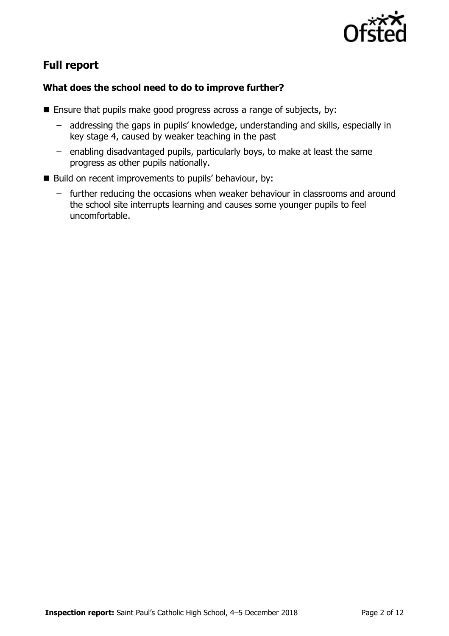

# **Full report**

### **What does the school need to do to improve further?**

- **Ensure that pupils make good progress across a range of subjects, by:** 
	- addressing the gaps in pupils' knowledge, understanding and skills, especially in key stage 4, caused by weaker teaching in the past
	- enabling disadvantaged pupils, particularly boys, to make at least the same progress as other pupils nationally.
- $\blacksquare$  Build on recent improvements to pupils' behaviour, by:
	- further reducing the occasions when weaker behaviour in classrooms and around the school site interrupts learning and causes some younger pupils to feel uncomfortable.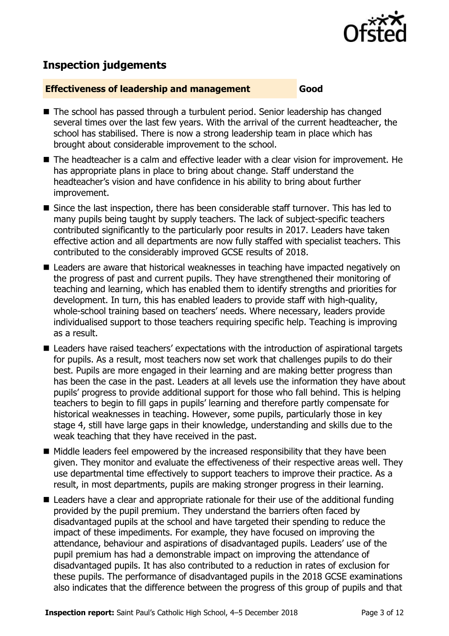

# **Inspection judgements**

#### **Effectiveness of leadership and management Good**

- The school has passed through a turbulent period. Senior leadership has changed several times over the last few years. With the arrival of the current headteacher, the school has stabilised. There is now a strong leadership team in place which has brought about considerable improvement to the school.
- The headteacher is a calm and effective leader with a clear vision for improvement. He has appropriate plans in place to bring about change. Staff understand the headteacher's vision and have confidence in his ability to bring about further improvement.
- Since the last inspection, there has been considerable staff turnover. This has led to many pupils being taught by supply teachers. The lack of subject-specific teachers contributed significantly to the particularly poor results in 2017. Leaders have taken effective action and all departments are now fully staffed with specialist teachers. This contributed to the considerably improved GCSE results of 2018.
- Leaders are aware that historical weaknesses in teaching have impacted negatively on the progress of past and current pupils. They have strengthened their monitoring of teaching and learning, which has enabled them to identify strengths and priorities for development. In turn, this has enabled leaders to provide staff with high-quality, whole-school training based on teachers' needs. Where necessary, leaders provide individualised support to those teachers requiring specific help. Teaching is improving as a result.
- Leaders have raised teachers' expectations with the introduction of aspirational targets for pupils. As a result, most teachers now set work that challenges pupils to do their best. Pupils are more engaged in their learning and are making better progress than has been the case in the past. Leaders at all levels use the information they have about pupils' progress to provide additional support for those who fall behind. This is helping teachers to begin to fill gaps in pupils' learning and therefore partly compensate for historical weaknesses in teaching. However, some pupils, particularly those in key stage 4, still have large gaps in their knowledge, understanding and skills due to the weak teaching that they have received in the past.
- $\blacksquare$  Middle leaders feel empowered by the increased responsibility that they have been given. They monitor and evaluate the effectiveness of their respective areas well. They use departmental time effectively to support teachers to improve their practice. As a result, in most departments, pupils are making stronger progress in their learning.
- Leaders have a clear and appropriate rationale for their use of the additional funding provided by the pupil premium. They understand the barriers often faced by disadvantaged pupils at the school and have targeted their spending to reduce the impact of these impediments. For example, they have focused on improving the attendance, behaviour and aspirations of disadvantaged pupils. Leaders' use of the pupil premium has had a demonstrable impact on improving the attendance of disadvantaged pupils. It has also contributed to a reduction in rates of exclusion for these pupils. The performance of disadvantaged pupils in the 2018 GCSE examinations also indicates that the difference between the progress of this group of pupils and that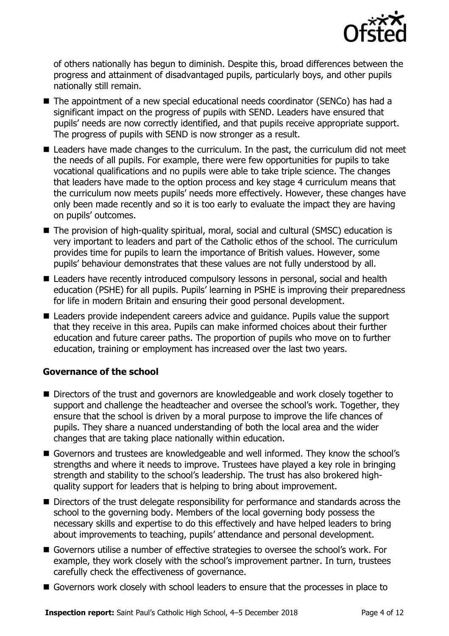

of others nationally has begun to diminish. Despite this, broad differences between the progress and attainment of disadvantaged pupils, particularly boys, and other pupils nationally still remain.

- The appointment of a new special educational needs coordinator (SENCo) has had a significant impact on the progress of pupils with SEND. Leaders have ensured that pupils' needs are now correctly identified, and that pupils receive appropriate support. The progress of pupils with SEND is now stronger as a result.
- Leaders have made changes to the curriculum. In the past, the curriculum did not meet the needs of all pupils. For example, there were few opportunities for pupils to take vocational qualifications and no pupils were able to take triple science. The changes that leaders have made to the option process and key stage 4 curriculum means that the curriculum now meets pupils' needs more effectively. However, these changes have only been made recently and so it is too early to evaluate the impact they are having on pupils' outcomes.
- The provision of high-quality spiritual, moral, social and cultural (SMSC) education is very important to leaders and part of the Catholic ethos of the school. The curriculum provides time for pupils to learn the importance of British values. However, some pupils' behaviour demonstrates that these values are not fully understood by all.
- Leaders have recently introduced compulsory lessons in personal, social and health education (PSHE) for all pupils. Pupils' learning in PSHE is improving their preparedness for life in modern Britain and ensuring their good personal development.
- Leaders provide independent careers advice and quidance. Pupils value the support that they receive in this area. Pupils can make informed choices about their further education and future career paths. The proportion of pupils who move on to further education, training or employment has increased over the last two years.

#### **Governance of the school**

- Directors of the trust and governors are knowledgeable and work closely together to support and challenge the headteacher and oversee the school's work. Together, they ensure that the school is driven by a moral purpose to improve the life chances of pupils. They share a nuanced understanding of both the local area and the wider changes that are taking place nationally within education.
- Governors and trustees are knowledgeable and well informed. They know the school's strengths and where it needs to improve. Trustees have played a key role in bringing strength and stability to the school's leadership. The trust has also brokered highquality support for leaders that is helping to bring about improvement.
- Directors of the trust delegate responsibility for performance and standards across the school to the governing body. Members of the local governing body possess the necessary skills and expertise to do this effectively and have helped leaders to bring about improvements to teaching, pupils' attendance and personal development.
- Governors utilise a number of effective strategies to oversee the school's work. For example, they work closely with the school's improvement partner. In turn, trustees carefully check the effectiveness of governance.
- Governors work closely with school leaders to ensure that the processes in place to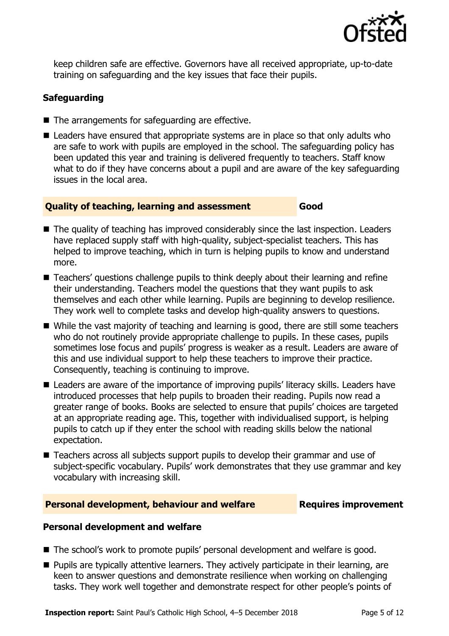

keep children safe are effective. Governors have all received appropriate, up-to-date training on safeguarding and the key issues that face their pupils.

### **Safeguarding**

- $\blacksquare$  The arrangements for safeguarding are effective.
- Leaders have ensured that appropriate systems are in place so that only adults who are safe to work with pupils are employed in the school. The safeguarding policy has been updated this year and training is delivered frequently to teachers. Staff know what to do if they have concerns about a pupil and are aware of the key safeguarding issues in the local area.

#### **Quality of teaching, learning and assessment Good**

- The quality of teaching has improved considerably since the last inspection. Leaders have replaced supply staff with high-quality, subject-specialist teachers. This has helped to improve teaching, which in turn is helping pupils to know and understand more.
- Teachers' questions challenge pupils to think deeply about their learning and refine their understanding. Teachers model the questions that they want pupils to ask themselves and each other while learning. Pupils are beginning to develop resilience. They work well to complete tasks and develop high-quality answers to questions.
- While the vast majority of teaching and learning is good, there are still some teachers who do not routinely provide appropriate challenge to pupils. In these cases, pupils sometimes lose focus and pupils' progress is weaker as a result. Leaders are aware of this and use individual support to help these teachers to improve their practice. Consequently, teaching is continuing to improve.
- Leaders are aware of the importance of improving pupils' literacy skills. Leaders have introduced processes that help pupils to broaden their reading. Pupils now read a greater range of books. Books are selected to ensure that pupils' choices are targeted at an appropriate reading age. This, together with individualised support, is helping pupils to catch up if they enter the school with reading skills below the national expectation.
- Teachers across all subjects support pupils to develop their grammar and use of subject-specific vocabulary. Pupils' work demonstrates that they use grammar and key vocabulary with increasing skill.

#### **Personal development, behaviour and welfare Fig. 2. Requires improvement**

#### **Personal development and welfare**

- The school's work to promote pupils' personal development and welfare is good.
- **Pupils are typically attentive learners. They actively participate in their learning, are** keen to answer questions and demonstrate resilience when working on challenging tasks. They work well together and demonstrate respect for other people's points of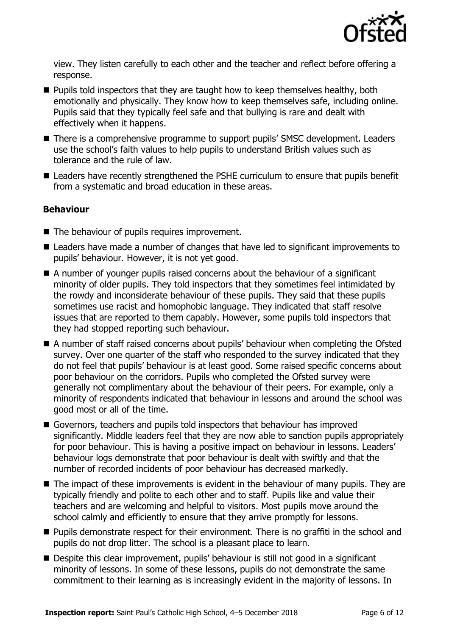

view. They listen carefully to each other and the teacher and reflect before offering a response.

- $\blacksquare$  Pupils told inspectors that they are taught how to keep themselves healthy, both emotionally and physically. They know how to keep themselves safe, including online. Pupils said that they typically feel safe and that bullying is rare and dealt with effectively when it happens.
- There is a comprehensive programme to support pupils' SMSC development. Leaders use the school's faith values to help pupils to understand British values such as tolerance and the rule of law.
- Leaders have recently strengthened the PSHE curriculum to ensure that pupils benefit from a systematic and broad education in these areas.

#### **Behaviour**

- The behaviour of pupils requires improvement.
- Leaders have made a number of changes that have led to significant improvements to pupils' behaviour. However, it is not yet good.
- A number of younger pupils raised concerns about the behaviour of a significant minority of older pupils. They told inspectors that they sometimes feel intimidated by the rowdy and inconsiderate behaviour of these pupils. They said that these pupils sometimes use racist and homophobic language. They indicated that staff resolve issues that are reported to them capably. However, some pupils told inspectors that they had stopped reporting such behaviour.
- A number of staff raised concerns about pupils' behaviour when completing the Ofsted survey. Over one quarter of the staff who responded to the survey indicated that they do not feel that pupils' behaviour is at least good. Some raised specific concerns about poor behaviour on the corridors. Pupils who completed the Ofsted survey were generally not complimentary about the behaviour of their peers. For example, only a minority of respondents indicated that behaviour in lessons and around the school was good most or all of the time.
- Governors, teachers and pupils told inspectors that behaviour has improved significantly. Middle leaders feel that they are now able to sanction pupils appropriately for poor behaviour. This is having a positive impact on behaviour in lessons. Leaders' behaviour logs demonstrate that poor behaviour is dealt with swiftly and that the number of recorded incidents of poor behaviour has decreased markedly.
- $\blacksquare$  The impact of these improvements is evident in the behaviour of many pupils. They are typically friendly and polite to each other and to staff. Pupils like and value their teachers and are welcoming and helpful to visitors. Most pupils move around the school calmly and efficiently to ensure that they arrive promptly for lessons.
- **Pupils demonstrate respect for their environment. There is no graffiti in the school and** pupils do not drop litter. The school is a pleasant place to learn.
- Despite this clear improvement, pupils' behaviour is still not good in a significant minority of lessons. In some of these lessons, pupils do not demonstrate the same commitment to their learning as is increasingly evident in the majority of lessons. In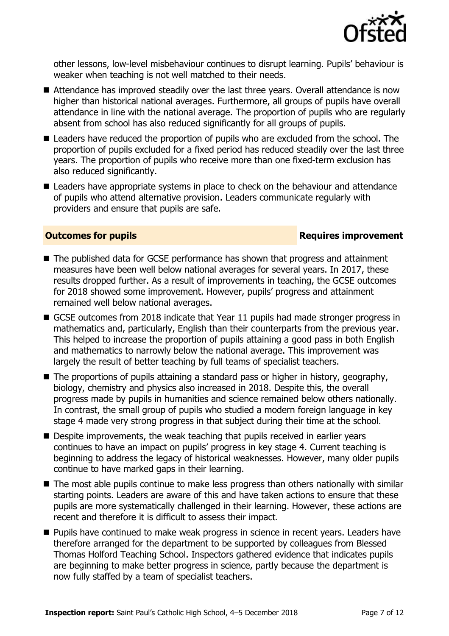

other lessons, low-level misbehaviour continues to disrupt learning. Pupils' behaviour is weaker when teaching is not well matched to their needs.

- Attendance has improved steadily over the last three years. Overall attendance is now higher than historical national averages. Furthermore, all groups of pupils have overall attendance in line with the national average. The proportion of pupils who are regularly absent from school has also reduced significantly for all groups of pupils.
- Leaders have reduced the proportion of pupils who are excluded from the school. The proportion of pupils excluded for a fixed period has reduced steadily over the last three years. The proportion of pupils who receive more than one fixed-term exclusion has also reduced significantly.
- Leaders have appropriate systems in place to check on the behaviour and attendance of pupils who attend alternative provision. Leaders communicate regularly with providers and ensure that pupils are safe.

#### **Outcomes for pupils Requires improvement**

- The published data for GCSE performance has shown that progress and attainment measures have been well below national averages for several years. In 2017, these results dropped further. As a result of improvements in teaching, the GCSE outcomes for 2018 showed some improvement. However, pupils' progress and attainment remained well below national averages.
- GCSE outcomes from 2018 indicate that Year 11 pupils had made stronger progress in mathematics and, particularly, English than their counterparts from the previous year. This helped to increase the proportion of pupils attaining a good pass in both English and mathematics to narrowly below the national average. This improvement was largely the result of better teaching by full teams of specialist teachers.
- $\blacksquare$  The proportions of pupils attaining a standard pass or higher in history, geography, biology, chemistry and physics also increased in 2018. Despite this, the overall progress made by pupils in humanities and science remained below others nationally. In contrast, the small group of pupils who studied a modern foreign language in key stage 4 made very strong progress in that subject during their time at the school.
- Despite improvements, the weak teaching that pupils received in earlier years continues to have an impact on pupils' progress in key stage 4. Current teaching is beginning to address the legacy of historical weaknesses. However, many older pupils continue to have marked gaps in their learning.
- The most able pupils continue to make less progress than others nationally with similar starting points. Leaders are aware of this and have taken actions to ensure that these pupils are more systematically challenged in their learning. However, these actions are recent and therefore it is difficult to assess their impact.
- **Pupils have continued to make weak progress in science in recent years. Leaders have** therefore arranged for the department to be supported by colleagues from Blessed Thomas Holford Teaching School. Inspectors gathered evidence that indicates pupils are beginning to make better progress in science, partly because the department is now fully staffed by a team of specialist teachers.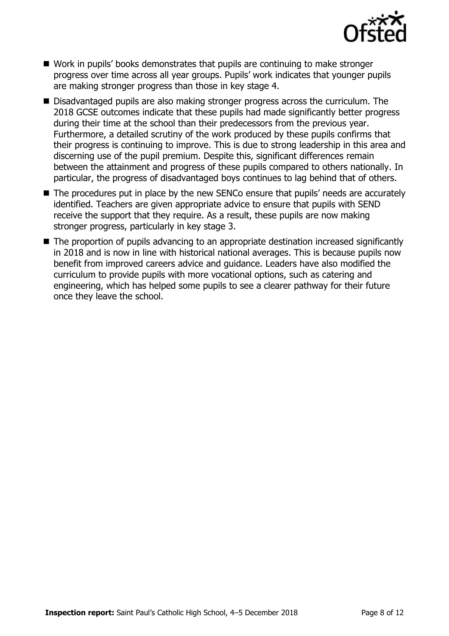

- Work in pupils' books demonstrates that pupils are continuing to make stronger progress over time across all year groups. Pupils' work indicates that younger pupils are making stronger progress than those in key stage 4.
- Disadvantaged pupils are also making stronger progress across the curriculum. The 2018 GCSE outcomes indicate that these pupils had made significantly better progress during their time at the school than their predecessors from the previous year. Furthermore, a detailed scrutiny of the work produced by these pupils confirms that their progress is continuing to improve. This is due to strong leadership in this area and discerning use of the pupil premium. Despite this, significant differences remain between the attainment and progress of these pupils compared to others nationally. In particular, the progress of disadvantaged boys continues to lag behind that of others.
- The procedures put in place by the new SENCo ensure that pupils' needs are accurately identified. Teachers are given appropriate advice to ensure that pupils with SEND receive the support that they require. As a result, these pupils are now making stronger progress, particularly in key stage 3.
- The proportion of pupils advancing to an appropriate destination increased significantly in 2018 and is now in line with historical national averages. This is because pupils now benefit from improved careers advice and guidance. Leaders have also modified the curriculum to provide pupils with more vocational options, such as catering and engineering, which has helped some pupils to see a clearer pathway for their future once they leave the school.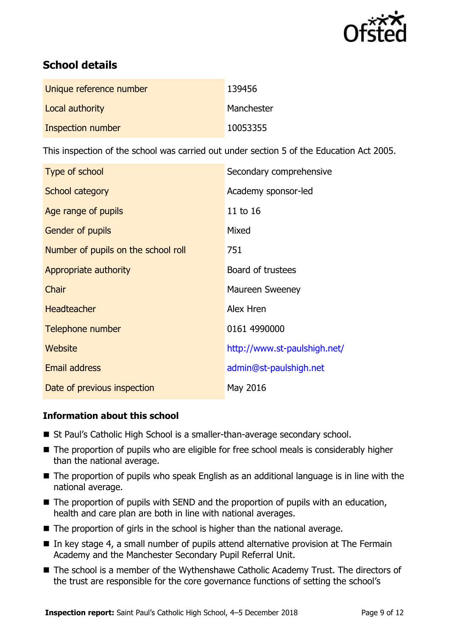

# **School details**

| Unique reference number | 139456     |
|-------------------------|------------|
| Local authority         | Manchester |
| Inspection number       | 10053355   |

This inspection of the school was carried out under section 5 of the Education Act 2005.

| Type of school                      | Secondary comprehensive      |
|-------------------------------------|------------------------------|
| School category                     | Academy sponsor-led          |
| Age range of pupils                 | 11 to 16                     |
| <b>Gender of pupils</b>             | Mixed                        |
| Number of pupils on the school roll | 751                          |
| Appropriate authority               | Board of trustees            |
| Chair                               | <b>Maureen Sweeney</b>       |
| <b>Headteacher</b>                  | Alex Hren                    |
| Telephone number                    | 0161 4990000                 |
| Website                             | http://www.st-paulshigh.net/ |
| <b>Email address</b>                | admin@st-paulshigh.net       |
| Date of previous inspection         | May 2016                     |

#### **Information about this school**

- St Paul's Catholic High School is a smaller-than-average secondary school.
- The proportion of pupils who are eligible for free school meals is considerably higher than the national average.
- The proportion of pupils who speak English as an additional language is in line with the national average.
- The proportion of pupils with SEND and the proportion of pupils with an education, health and care plan are both in line with national averages.
- $\blacksquare$  The proportion of girls in the school is higher than the national average.
- In key stage 4, a small number of pupils attend alternative provision at The Fermain Academy and the Manchester Secondary Pupil Referral Unit.
- The school is a member of the Wythenshawe Catholic Academy Trust. The directors of the trust are responsible for the core governance functions of setting the school's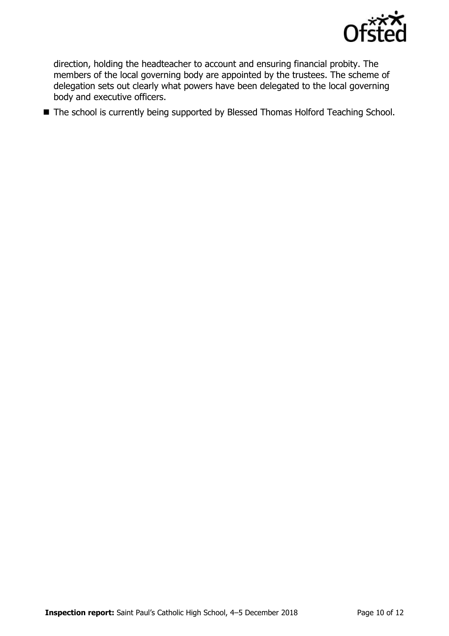

direction, holding the headteacher to account and ensuring financial probity. The members of the local governing body are appointed by the trustees. The scheme of delegation sets out clearly what powers have been delegated to the local governing body and executive officers.

■ The school is currently being supported by Blessed Thomas Holford Teaching School.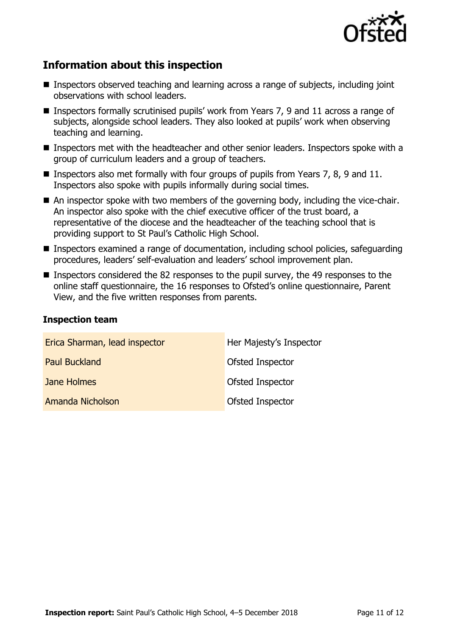

# **Information about this inspection**

- Inspectors observed teaching and learning across a range of subjects, including joint observations with school leaders.
- Inspectors formally scrutinised pupils' work from Years 7, 9 and 11 across a range of subjects, alongside school leaders. They also looked at pupils' work when observing teaching and learning.
- Inspectors met with the headteacher and other senior leaders. Inspectors spoke with a group of curriculum leaders and a group of teachers.
- **Inspectors also met formally with four groups of pupils from Years 7, 8, 9 and 11.** Inspectors also spoke with pupils informally during social times.
- An inspector spoke with two members of the governing body, including the vice-chair. An inspector also spoke with the chief executive officer of the trust board, a representative of the diocese and the headteacher of the teaching school that is providing support to St Paul's Catholic High School.
- Inspectors examined a range of documentation, including school policies, safeguarding procedures, leaders' self-evaluation and leaders' school improvement plan.
- **Inspectors considered the 82 responses to the pupil survey, the 49 responses to the** online staff questionnaire, the 16 responses to Ofsted's online questionnaire, Parent View, and the five written responses from parents.

#### **Inspection team**

| Erica Sharman, lead inspector | Her Majesty's Inspector |
|-------------------------------|-------------------------|
| <b>Paul Buckland</b>          | Ofsted Inspector        |
| Jane Holmes                   | Ofsted Inspector        |
| Amanda Nicholson              | Ofsted Inspector        |